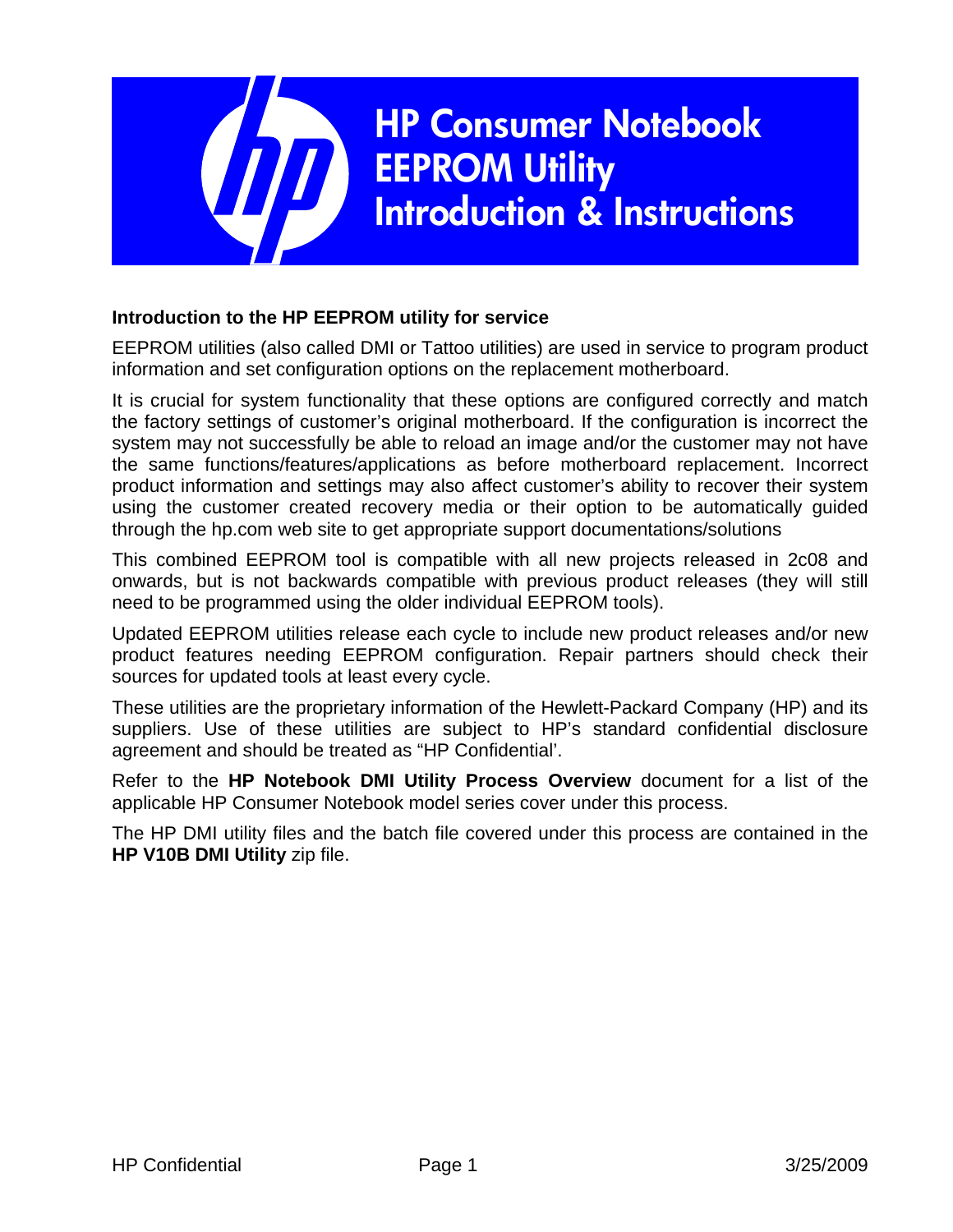

#### **Introduction to the HP EEPROM utility for service**

EEPROM utilities (also called DMI or Tattoo utilities) are used in service to program product information and set configuration options on the replacement motherboard.

It is crucial for system functionality that these options are configured correctly and match the factory settings of customer's original motherboard. If the configuration is incorrect the system may not successfully be able to reload an image and/or the customer may not have the same functions/features/applications as before motherboard replacement. Incorrect product information and settings may also affect customer's ability to recover their system using the customer created recovery media or their option to be automatically guided through the hp.com web site to get appropriate support documentations/solutions

This combined EEPROM tool is compatible with all new projects released in 2c08 and onwards, but is not backwards compatible with previous product releases (they will still need to be programmed using the older individual EEPROM tools).

Updated EEPROM utilities release each cycle to include new product releases and/or new product features needing EEPROM configuration. Repair partners should check their sources for updated tools at least every cycle.

These utilities are the proprietary information of the Hewlett-Packard Company (HP) and its suppliers. Use of these utilities are subject to HP's standard confidential disclosure agreement and should be treated as "HP Confidential'.

Refer to the **HP Notebook DMI Utility Process Overview** document for a list of the applicable HP Consumer Notebook model series cover under this process.

The HP DMI utility files and the batch file covered under this process are contained in the **HP V10B DMI Utility** zip file.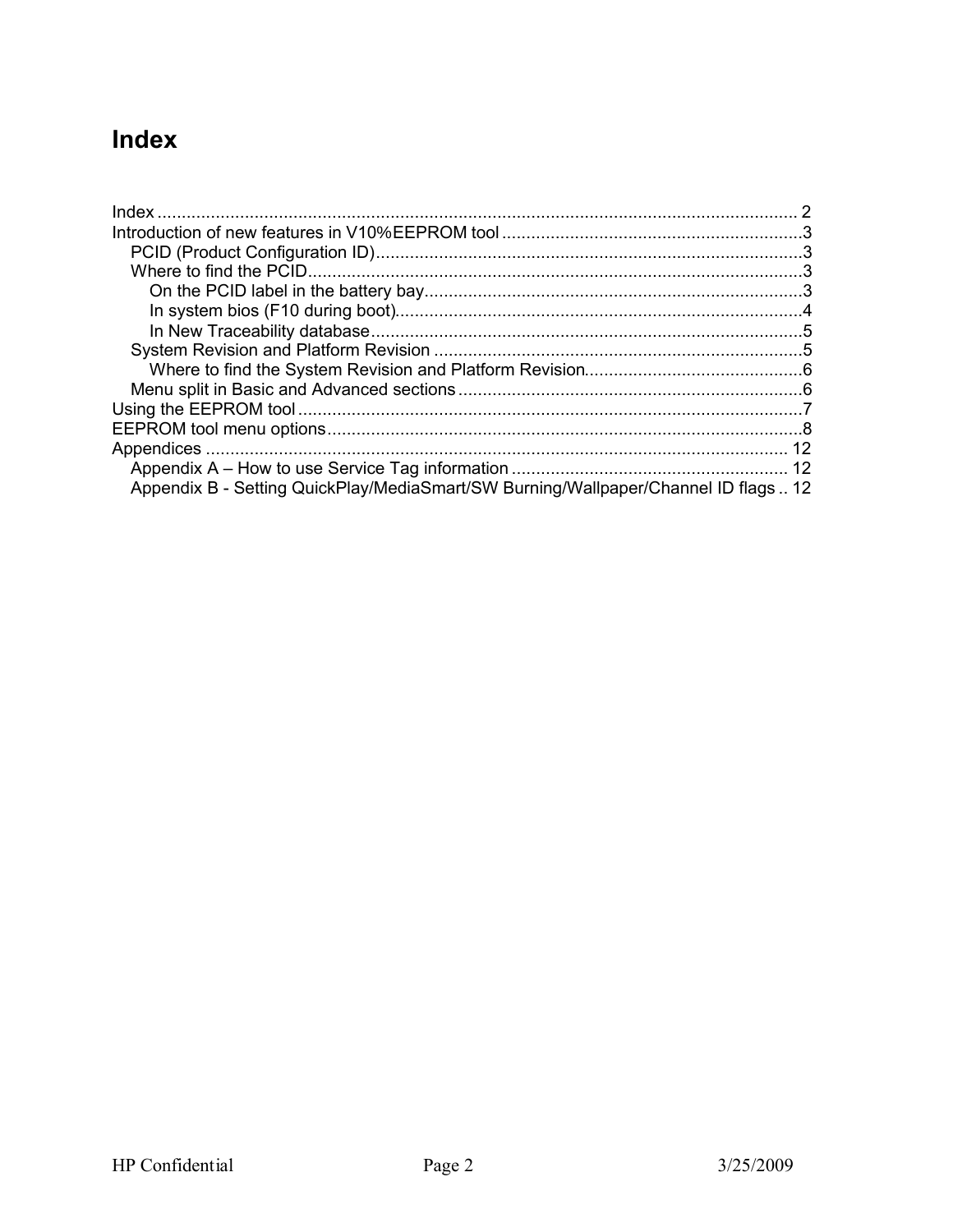## **Index**

| Appendix B - Setting QuickPlay/MediaSmart/SW Burning/Wallpaper/Channel ID flags  12 |  |
|-------------------------------------------------------------------------------------|--|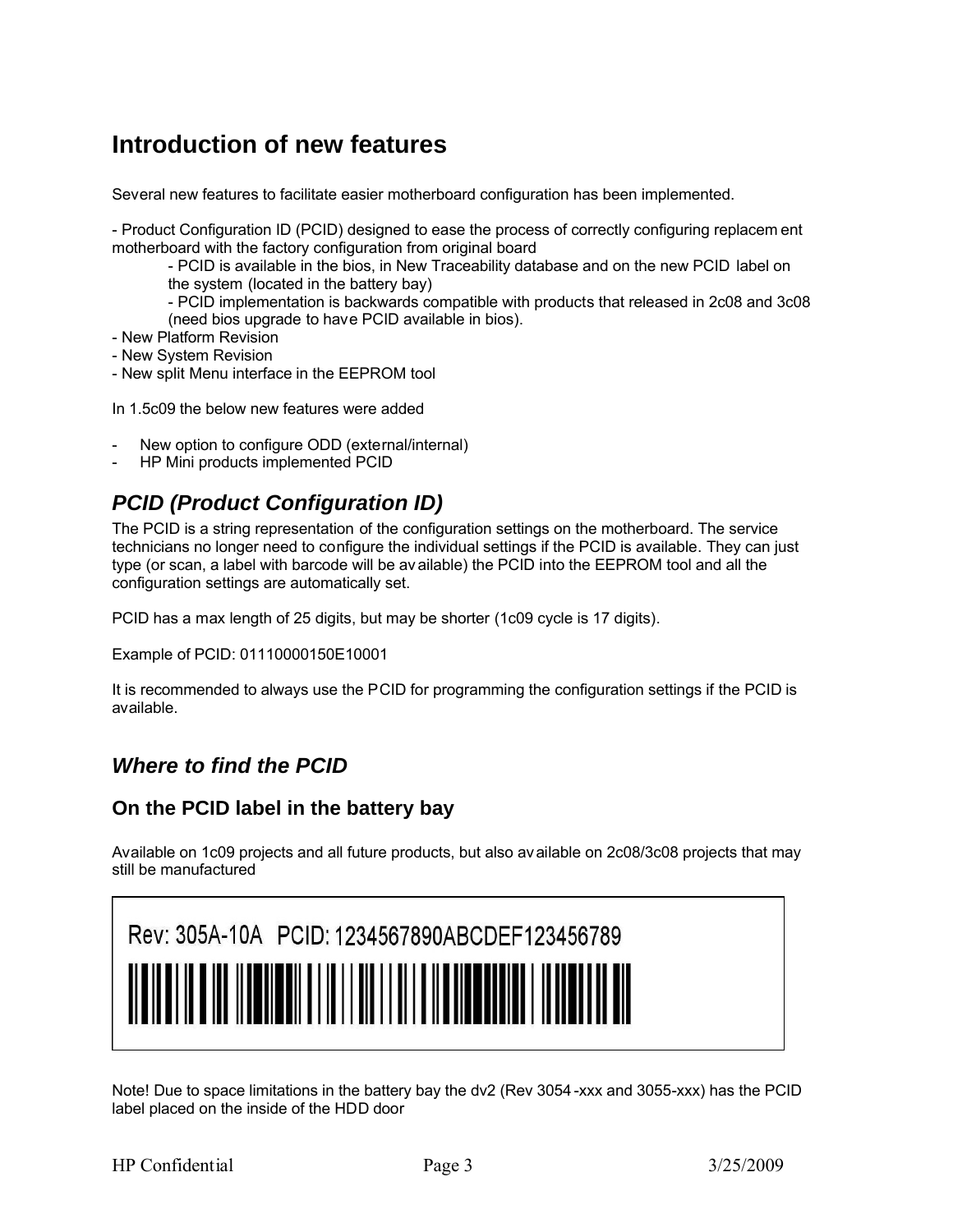### **Introduction of new features**

Several new features to facilitate easier motherboard configuration has been implemented.

- Product Configuration ID (PCID) designed to ease the process of correctly configuring replacem ent motherboard with the factory configuration from original board

- PCID is available in the bios, in New Traceability database and on the new PCID label on the system (located in the battery bay)

- PCID implementation is backwards compatible with products that released in 2c08 and 3c08 (need bios upgrade to have PCID available in bios).

- New Platform Revision
- New System Revision
- New split Menu interface in the EEPROM tool

In 1.5c09 the below new features were added

- New option to configure ODD (external/internal)
- HP Mini products implemented PCID

### *PCID (Product Configuration ID)*

The PCID is a string representation of the configuration settings on the motherboard. The service technicians no longer need to configure the individual settings if the PCID is available. They can just type (or scan, a label with barcode will be av ailable) the PCID into the EEPROM tool and all the configuration settings are automatically set.

PCID has a max length of 25 digits, but may be shorter (1c09 cycle is 17 digits).

Example of PCID: 01110000150E10001

It is recommended to always use the PCID for programming the configuration settings if the PCID is available.

#### *Where to find the PCID*

#### **On the PCID label in the battery bay**

Available on 1c09 projects and all future products, but also av ailable on 2c08/3c08 projects that may still be manufactured

| Rev: 305A-10A PCID: 1234567890ABCDEF123456789 |  |
|-----------------------------------------------|--|
|                                               |  |

Note! Due to space limitations in the battery bay the dv2 (Rev 3054 -xxx and 3055-xxx) has the PCID label placed on the inside of the HDD door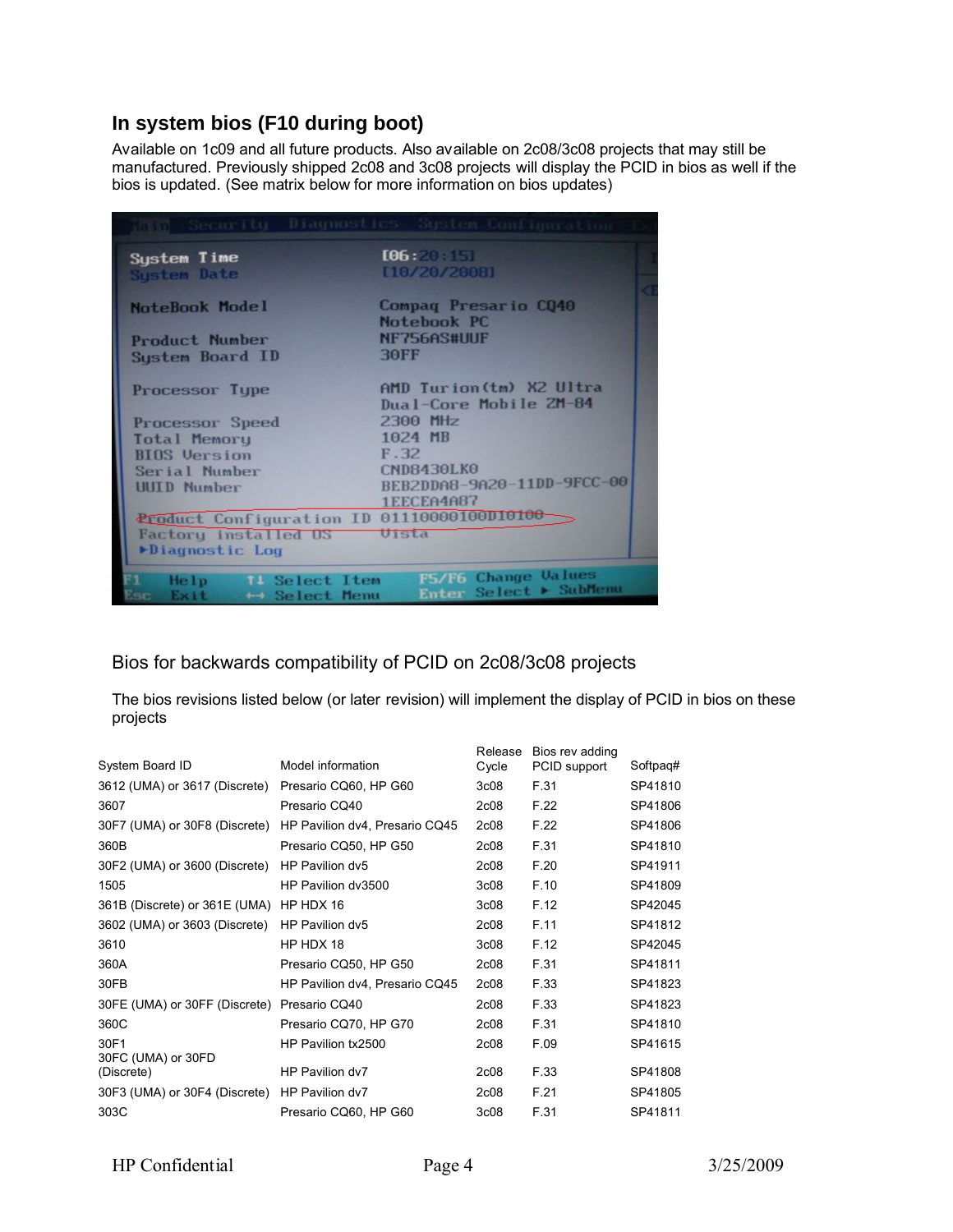#### **In system bios (F10 during boot)**

Available on 1c09 and all future products. Also available on 2c08/3c08 projects that may still be manufactured. Previously shipped 2c08 and 3c08 projects will display the PCID in bios as well if the bios is updated. (See matrix below for more information on bios updates)

|                                                                       | This Security Diagnostics System Configuration     |
|-----------------------------------------------------------------------|----------------------------------------------------|
| System Time<br><b>System Date</b>                                     | [06:20:10]<br>[10/20/2001]                         |
| <b>NoteBook Model</b>                                                 | Compag Presario CO40<br>Notebook PC                |
| <b>Product Number</b>                                                 | NF756AS#UUF                                        |
| System Board ID                                                       | <b>30FF</b>                                        |
| Processor Type                                                        | AMD Turion (tm) X2 Ultra<br>Dual-Core Mobile ZM-84 |
| <b>Processor Speed</b>                                                | 2300 MHz                                           |
| <b>Total Memory</b>                                                   | 1024 MB                                            |
| <b>BIOS</b> Version                                                   | F.32                                               |
| Serial Number                                                         | <b>CND8430LK0</b>                                  |
| <b>UUID Number</b>                                                    | BEB2DDA8-9A20-11DD-9FCC-00<br>1EECEA4A87           |
| <b>Croduct Configuration ID 01110000100D10100</b>                     |                                                    |
| <b>Factory installed US</b>                                           | Uista                                              |
| Diagnostic Log                                                        |                                                    |
|                                                                       |                                                    |
| He1p<br><b>TI</b> Select Item<br>Exit<br>← Select Menu<br><b>Card</b> | F5/F6 Change Values<br>Enter Select > SubMenu      |

#### Bios for backwards compatibility of PCID on 2c08/3c08 projects

The bios revisions listed below (or later revision) will implement the display of PCID in bios on these projects

| System Board ID               | Model information              | Release<br>Cycle  | Bios rev adding<br>PCID support | Softpag# |
|-------------------------------|--------------------------------|-------------------|---------------------------------|----------|
| 3612 (UMA) or 3617 (Discrete) | Presario CQ60, HP G60          | 3 <sub>c</sub> 08 | F.31                            | SP41810  |
| 3607                          | Presario CQ40                  | 2 <sub>c</sub> 08 | F.22                            | SP41806  |
| 30F7 (UMA) or 30F8 (Discrete) | HP Pavilion dv4, Presario CQ45 | 2 <sub>c</sub> 08 | F.22                            | SP41806  |
| 360B                          | Presario CQ50, HP G50          | 2 <sub>c</sub> 08 | F.31                            | SP41810  |
| 30F2 (UMA) or 3600 (Discrete) | HP Pavilion dv5                | 2 <sub>c</sub> 08 | F.20                            | SP41911  |
| 1505                          | HP Pavilion dv3500             | 3 <sub>c</sub> 08 | F.10                            | SP41809  |
| 361B (Discrete) or 361E (UMA) | HP HDX 16                      | 3 <sub>c</sub> 08 | F.12                            | SP42045  |
| 3602 (UMA) or 3603 (Discrete) | HP Pavilion dv5                | 2 <sub>c</sub> 08 | F.11                            | SP41812  |
| 3610                          | HP HDX 18                      | 3c08              | F.12                            | SP42045  |
| 360A                          | Presario CQ50, HP G50          | 2 <sub>c</sub> 08 | F.31                            | SP41811  |
| 30FB                          | HP Pavilion dv4, Presario CQ45 | 2 <sub>c</sub> 08 | F.33                            | SP41823  |
| 30FE (UMA) or 30FF (Discrete) | Presario CQ40                  | 2 <sub>c</sub> 08 | F.33                            | SP41823  |
| 360C                          | Presario CQ70, HP G70          | 2 <sub>c</sub> 08 | F.31                            | SP41810  |
| 30F1<br>30FC (UMA) or 30FD    | HP Pavilion tx2500             | 2 <sub>c</sub> 08 | F.09                            | SP41615  |
| (Discrete)                    | HP Pavilion dv7                | 2 <sub>c</sub> 08 | F.33                            | SP41808  |
| 30F3 (UMA) or 30F4 (Discrete) | HP Pavilion dv7                | 2 <sub>c</sub> 08 | F.21                            | SP41805  |
| 303C                          | Presario CQ60, HP G60          | 3c08              | F.31                            | SP41811  |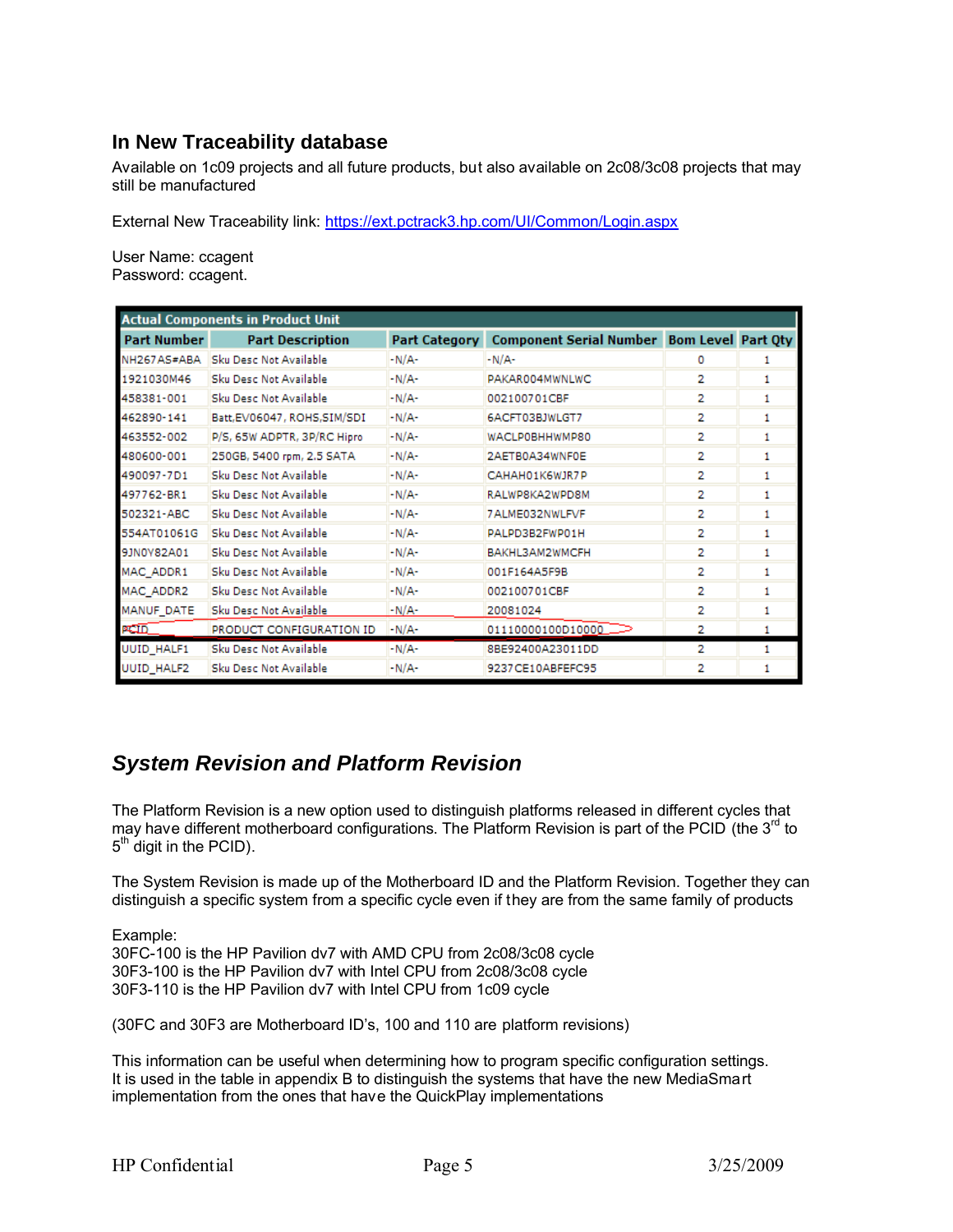#### **In New Traceability database**

Available on 1c09 projects and all future products, but also available on 2c08/3c08 projects that may still be manufactured

External New Traceability link: https://ext.pctrack3.hp.com/UI/Common/Login.aspx

User Name: ccagent Password: ccagent.

| <b>Actual Components in Product Unit</b> |                              |                      |                                                   |   |    |
|------------------------------------------|------------------------------|----------------------|---------------------------------------------------|---|----|
| <b>Part Number</b>                       | <b>Part Description</b>      | <b>Part Category</b> | <b>Component Serial Number Bom Level Part Oty</b> |   |    |
| NH267AS#ABA                              | Sku Desc Not Available       | $-N/A$ -             | $-N/A$ -                                          | o |    |
| 1921030M46                               | Sku Desc Not Available       | -N/A-                | PAKAR004MWNLWC                                    | 2 | 1  |
| 458381-001                               | Sku Desc Not Available       | $-N/A$ -             | 002100701CBF                                      | 2 | 1  |
| 462890-141                               | Batt, EV06047, ROHS, SIM/SDI | $-N/A$ -             | 6ACFT03BJWLGT7                                    | 2 | 1  |
| 463552-002                               | P/S, 65W ADPTR, 3P/RC Hipro  | $-N/A$               | WACLP0BHHWMP80                                    | 2 | 1  |
| 480600-001                               | 250GB, 5400 rpm, 2.5 SATA    | $-N/A$               | 2AETB0A34WNF0E                                    | 2 | 1  |
| 490097-7D1                               | Sku Desc Not Available       | -N/A-                | CAHAH01K6WJR7P                                    | 2 | 1  |
| 497762-BR1                               | Sku Desc Not Available       | $-N/A$               | RALWPSKA2WPD8M                                    | 2 | 1. |
| 502321-ABC                               | Sku Desc Not Available       | $-N/A$ -             | 7ALME032NWLFVF                                    | 2 | 1  |
| 554AT01061G                              | Sku Desc Not Available       | $-N/A$ -             | PALPD3B2FWP01H                                    | 2 | 1  |
| 9JN0V82A01                               | Sku Desc Not Available       | $-N/A$ -             | BAKHL3AM2WMCFH                                    | 2 | 1. |
| MAC ADDR1                                | Sku Desc Not Available       | $-N/A$ -             | 001F164A5F9B                                      | 2 | 1. |
| <b>MAC ADDR2</b>                         | Sku Desc Not Available       | -N/A-                | 002100701CBF                                      | 2 |    |
| MANUF DATE                               | Sku Desc Not Available       | $-N/A$ -             | 20081024                                          | 2 |    |
| <b>PCID</b>                              | PRODUCT CONFIGURATION ID     | $-N/A$               | 01110000100010000                                 | 2 |    |
| <b>UUID HALF1</b>                        | Sku Desc Not Available       | -N/A-                | 8BE92400A23011DD                                  | 2 | 1  |
| UUID_HALF2                               | Sku Desc Not Available       | $-N/A$ -             | 9237CE10ABFEFC95                                  | 2 |    |

#### *System Revision and Platform Revision*

The Platform Revision is a new option used to distinguish platforms released in different cycles that may have different motherboard configurations. The Platform Revision is part of the PCID (the 3<sup>rd</sup> to 5<sup>th</sup> digit in the PCID).

The System Revision is made up of the Motherboard ID and the Platform Revision. Together they can distinguish a specific system from a specific cycle even if they are from the same family of products

Example:

30FC-100 is the HP Pavilion dv7 with AMD CPU from 2c08/3c08 cycle 30F3-100 is the HP Pavilion dv7 with Intel CPU from 2c08/3c08 cycle 30F3-110 is the HP Pavilion dv7 with Intel CPU from 1c09 cycle

(30FC and 30F3 are Motherboard ID's, 100 and 110 are platform revisions)

This information can be useful when determining how to program specific configuration settings. It is used in the table in appendix B to distinguish the systems that have the new MediaSmart implementation from the ones that have the QuickPlay implementations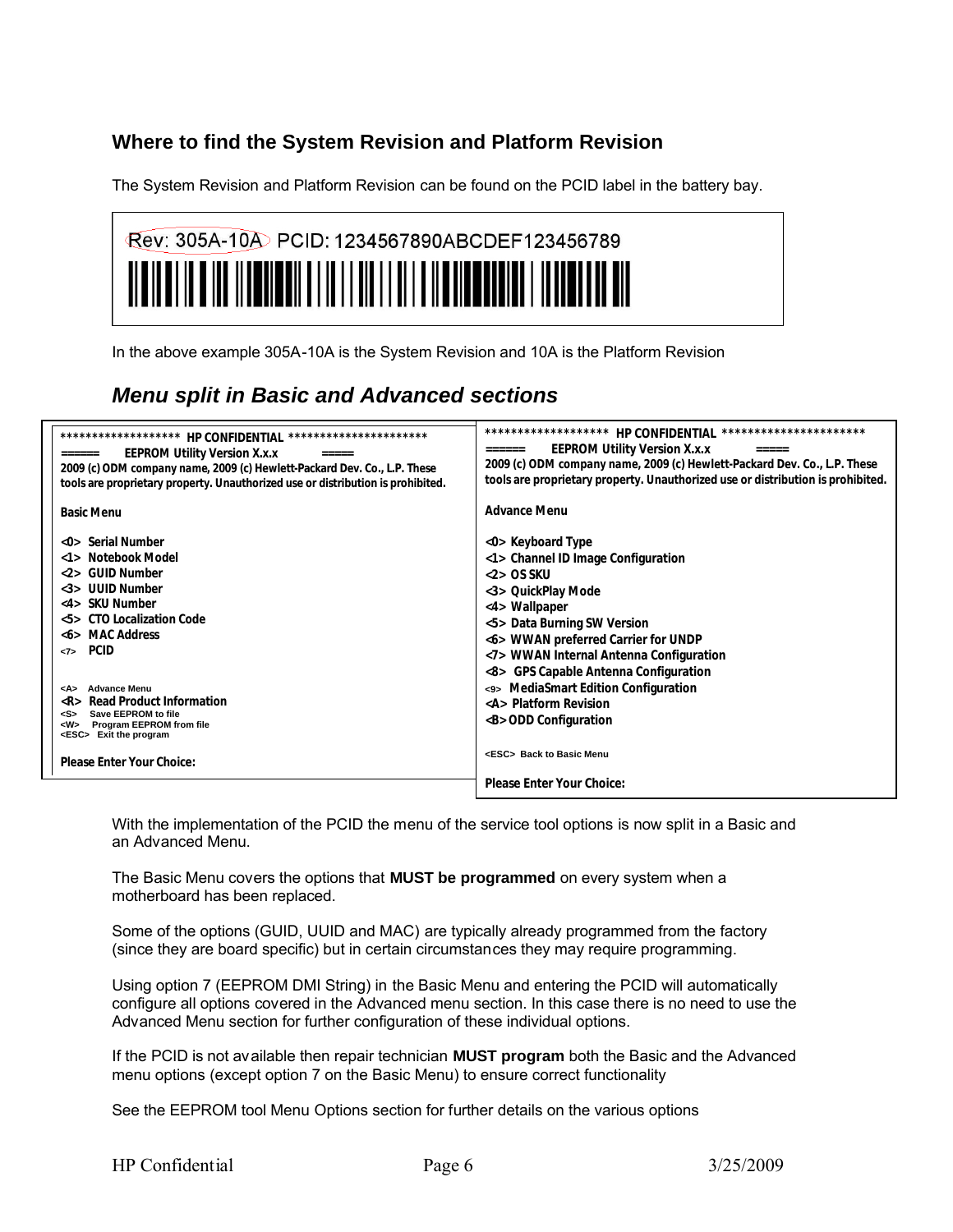#### **Where to find the System Revision and Platform Revision**

The System Revision and Platform Revision can be found on the PCID label in the battery bay.

| Rev: 305A-10A PCID: 1234567890ABCDEF123456789                                                                          |
|------------------------------------------------------------------------------------------------------------------------|
| <u> Albian ila dina ilay ilay kaominina dia kaominina mpikambang kaominina dia kaominina dia kaominina dia kaomini</u> |
|                                                                                                                        |

In the above example 305A-10A is the System Revision and 10A is the Platform Revision

### *Menu split in Basic and Advanced sections*

| *******************<br>HP CONFIDENTIAL ***********************<br><b>EEPROM Utility Version X.x.x</b><br>======<br>=====<br>2009 (c) ODM company name, 2009 (c) Hewlett-Packard Dev. Co., L.P. These<br>tools are proprietary property. Unauthorized use or distribution is prohibited.<br><b>Basic Menu</b>                                                                                                                                                                             | *******************<br>HP CONFIDENTIAL ***********************<br><b>EEPROM Utility Version X.x.x</b><br>======<br>$=$ $=$ $=$ $=$<br>2009 (c) ODM company name, 2009 (c) Hewlett-Packard Dev. Co., L.P. These<br>tools are proprietary property. Unauthorized use or distribution is prohibited.<br><b>Advance Menu</b>                                                                                    |
|------------------------------------------------------------------------------------------------------------------------------------------------------------------------------------------------------------------------------------------------------------------------------------------------------------------------------------------------------------------------------------------------------------------------------------------------------------------------------------------|-------------------------------------------------------------------------------------------------------------------------------------------------------------------------------------------------------------------------------------------------------------------------------------------------------------------------------------------------------------------------------------------------------------|
| <b>Serial Number</b><br>$\langle$ () $>$<br>Notebook Model<br>$\langle$ 1><br><b>GUID Number</b><br>$\langle 2 \rangle$<br><3> UUID Number<br><4> SKU Number<br><5> CTO Localization Code<br><b>MAC Address</b><br>$<$ b><br><b>PCID</b><br>$\langle 7 \rangle$<br><b>Advance Menu</b><br><a><br/>Read Product Information<br/>R &gt;<br/>Save EEPROM to file<br/><s><br/>Program EEPROM from file<br/>&lt; W&gt;<br/><esc> Exit the program<br/>Please Enter Your Choice:</esc></s></a> | <0> Keyboard Type<br><1> Channel ID Image Configuration<br>$<$ 2> OS SKU<br><3> QuickPlay Mode<br><4> Wallpaper<br><5> Data Burning SW Version<br><6> WWAN preferred Carrier for UNDP<br><7> WWAN Internal Antenna Configuration<br>GPS Capable Antenna Configuration<br><9> MediaSmart Edition Configuration<br><a> Platform Revision<br/><b> ODD Configuration<br/><esc> Back to Basic Menu</esc></b></a> |
|                                                                                                                                                                                                                                                                                                                                                                                                                                                                                          | Please Enter Your Choice:                                                                                                                                                                                                                                                                                                                                                                                   |

With the implementation of the PCID the menu of the service tool options is now split in a Basic and an Advanced Menu.

The Basic Menu covers the options that **MUST be programmed** on every system when a motherboard has been replaced.

Some of the options (GUID, UUID and MAC) are typically already programmed from the factory (since they are board specific) but in certain circumstances they may require programming.

Using option 7 (EEPROM DMI String) in the Basic Menu and entering the PCID will automatically configure all options covered in the Advanced menu section. In this case there is no need to use the Advanced Menu section for further configuration of these individual options.

If the PCID is not available then repair technician **MUST program** both the Basic and the Advanced menu options (except option 7 on the Basic Menu) to ensure correct functionality

See the EEPROM tool Menu Options section for further details on the various options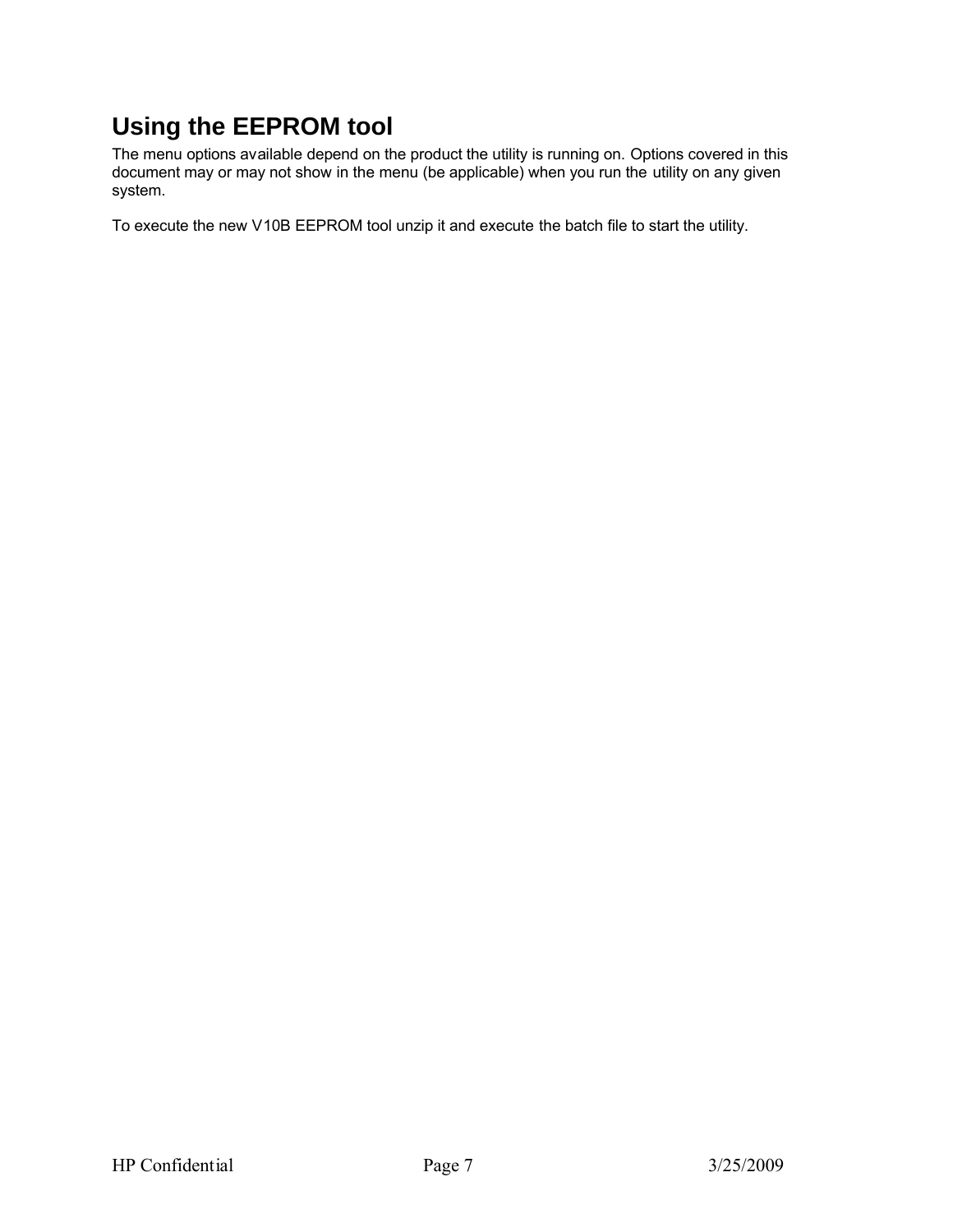## **Using the EEPROM tool**

The menu options available depend on the product the utility is running on. Options covered in this document may or may not show in the menu (be applicable) when you run the utility on any given system.

To execute the new V10B EEPROM tool unzip it and execute the batch file to start the utility.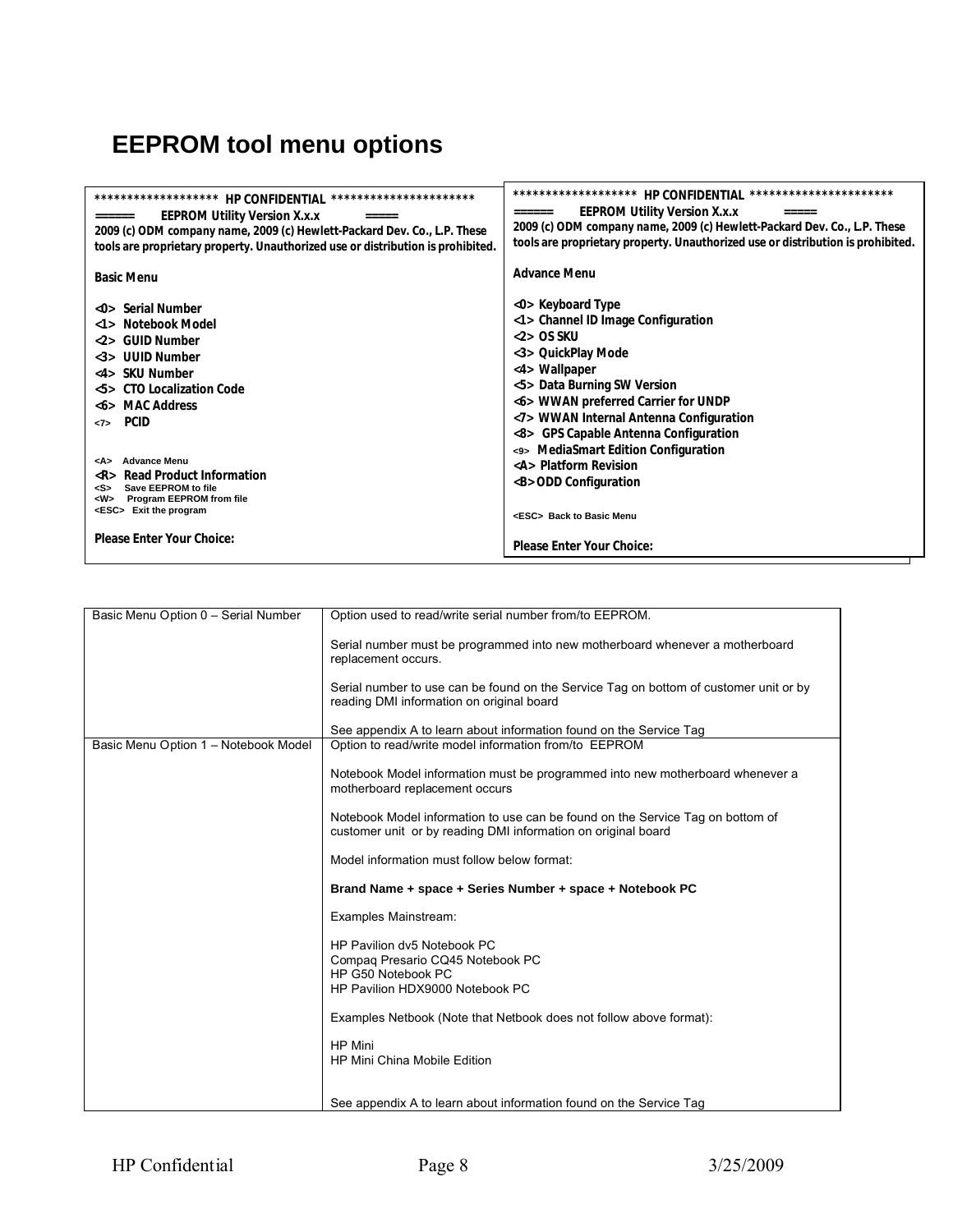# **EEPROM tool menu options**

| *******************<br>HP CONFIDENTIAL ***********************<br><b>EEPROM Utility Version X.x.x</b><br>======<br>$=$ $=$ $=$ $=$ $=$<br>2009 (c) ODM company name, 2009 (c) Hewlett-Packard Dev. Co., L.P. These<br>tools are proprietary property. Unauthorized use or distribution is prohibited.                | **********************<br>*******************<br><b>HP CONFIDENTIAL</b><br><b>EEPROM Utility Version X.x.x</b><br>$=$ = = = = =<br>2009 (c) ODM company name, 2009 (c) Hewlett-Packard Dev. Co., L.P. These<br>tools are proprietary property. Unauthorized use or distribution is prohibited.                                               |
|----------------------------------------------------------------------------------------------------------------------------------------------------------------------------------------------------------------------------------------------------------------------------------------------------------------------|----------------------------------------------------------------------------------------------------------------------------------------------------------------------------------------------------------------------------------------------------------------------------------------------------------------------------------------------|
| <b>Basic Menu</b>                                                                                                                                                                                                                                                                                                    | Advance Menu                                                                                                                                                                                                                                                                                                                                 |
| <0> Serial Number<br>Notebook Model<br><b>GUID Number</b><br>2<br><b>UUID Number</b><br>$\langle .3 \rangle$<br><4> SKU Number<br>CTO Localization Code<br>55<br><b>MAC Address</b><br>$<$ b><br><b>PCID</b><br>22<br><b>Advance Menu</b><br><a><br/>Read Product Information<br/><math>\langle R \rangle</math></a> | <0> Keyboard Type<br><1> Channel ID Image Configuration<br>$<2>OS$ SKU<br><3> QuickPlay Mode<br><4> Wallpaper<br><5> Data Burning SW Version<br><6> WWAN preferred Carrier for UNDP<br><7> WWAN Internal Antenna Configuration<br><8> GPS Capable Antenna Configuration<br><9> MediaSmart Edition Configuration<br><a> Platform Revision</a> |
| Save EEPROM to file<br><s><br/>Program EEPROM from file<br/><w><br/><esc> Exit the program</esc></w></s>                                                                                                                                                                                                             | <b> ODD Configuration<br/><esc> Back to Basic Menu</esc></b>                                                                                                                                                                                                                                                                                 |
| Please Enter Your Choice:                                                                                                                                                                                                                                                                                            | Please Enter Your Choice:                                                                                                                                                                                                                                                                                                                    |

| Basic Menu Option 0 - Serial Number  | Option used to read/write serial number from/to EEPROM.                                                                                         |
|--------------------------------------|-------------------------------------------------------------------------------------------------------------------------------------------------|
|                                      | Serial number must be programmed into new motherboard whenever a motherboard<br>replacement occurs.                                             |
|                                      | Serial number to use can be found on the Service Tag on bottom of customer unit or by<br>reading DMI information on original board              |
|                                      | See appendix A to learn about information found on the Service Tag                                                                              |
| Basic Menu Option 1 - Notebook Model | Option to read/write model information from/to EEPROM                                                                                           |
|                                      | Notebook Model information must be programmed into new motherboard whenever a<br>motherboard replacement occurs                                 |
|                                      | Notebook Model information to use can be found on the Service Tag on bottom of<br>customer unit or by reading DMI information on original board |
|                                      | Model information must follow below format:                                                                                                     |
|                                      | Brand Name + space + Series Number + space + Notebook PC                                                                                        |
|                                      | Examples Mainstream:                                                                                                                            |
|                                      | HP Pavilion dv5 Notebook PC                                                                                                                     |
|                                      | Compaq Presario CQ45 Notebook PC                                                                                                                |
|                                      | HP G50 Notebook PC                                                                                                                              |
|                                      | HP Pavilion HDX9000 Notebook PC                                                                                                                 |
|                                      | Examples Netbook (Note that Netbook does not follow above format):                                                                              |
|                                      | <b>HP</b> Mini                                                                                                                                  |
|                                      | <b>HP Mini China Mobile Edition</b>                                                                                                             |
|                                      |                                                                                                                                                 |
|                                      | See appendix A to learn about information found on the Service Tag                                                                              |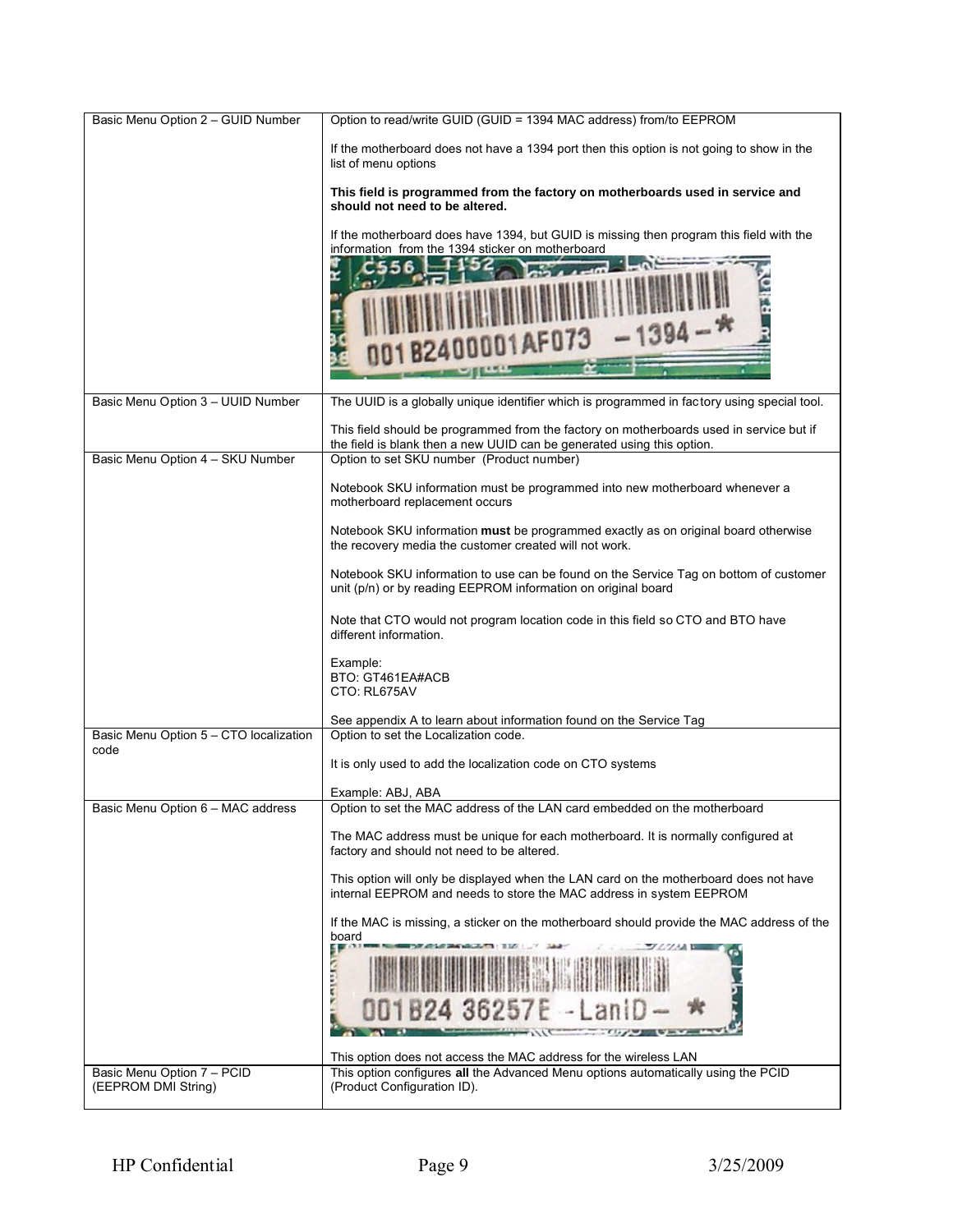| Basic Menu Option 2 - GUID Number              | Option to read/write GUID (GUID = 1394 MAC address) from/to EEPROM                                                                                                                                                                                                       |
|------------------------------------------------|--------------------------------------------------------------------------------------------------------------------------------------------------------------------------------------------------------------------------------------------------------------------------|
|                                                | If the motherboard does not have a 1394 port then this option is not going to show in the<br>list of menu options                                                                                                                                                        |
|                                                | This field is programmed from the factory on motherboards used in service and<br>should not need to be altered.                                                                                                                                                          |
|                                                | If the motherboard does have 1394, but GUID is missing then program this field with the<br>information from the 1394 sticker on motherboard<br>i 56<br>$-1394 -$ <sup>9</sup><br>001AF073                                                                                |
| Basic Menu Option 3 - UUID Number              | The UUID is a globally unique identifier which is programmed in factory using special tool.                                                                                                                                                                              |
| Basic Menu Option 4 - SKU Number               | This field should be programmed from the factory on motherboards used in service but if<br>the field is blank then a new UUID can be generated using this option.<br>Option to set SKU number (Product number)                                                           |
|                                                | Notebook SKU information must be programmed into new motherboard whenever a<br>motherboard replacement occurs                                                                                                                                                            |
|                                                |                                                                                                                                                                                                                                                                          |
|                                                | Notebook SKU information must be programmed exactly as on original board otherwise<br>the recovery media the customer created will not work.                                                                                                                             |
|                                                | Notebook SKU information to use can be found on the Service Tag on bottom of customer<br>unit (p/n) or by reading EEPROM information on original board                                                                                                                   |
|                                                | Note that CTO would not program location code in this field so CTO and BTO have<br>different information.                                                                                                                                                                |
|                                                | Example:<br>BTO: GT461EA#ACB<br>CTO: RL675AV                                                                                                                                                                                                                             |
|                                                | See appendix A to learn about information found on the Service Tag                                                                                                                                                                                                       |
| Basic Menu Option 5 - CTO localization<br>code | Option to set the Localization code.                                                                                                                                                                                                                                     |
|                                                | It is only used to add the localization code on CTO systems                                                                                                                                                                                                              |
| Basic Menu Option 6 - MAC address              | Example: ABJ, ABA<br>Option to set the MAC address of the LAN card embedded on the motherboard                                                                                                                                                                           |
|                                                | The MAC address must be unique for each motherboard. It is normally configured at<br>factory and should not need to be altered.                                                                                                                                          |
|                                                | This option will only be displayed when the LAN card on the motherboard does not have<br>internal EEPROM and needs to store the MAC address in system EEPROM                                                                                                             |
| Basic Menu Option 7 - PCID                     | If the MAC is missing, a sticker on the motherboard should provide the MAC address of the<br>board<br>624 36257<br>This option does not access the MAC address for the wireless LAN<br>This option configures all the Advanced Menu options automatically using the PCID |
| (EEPROM DMI String)                            | (Product Configuration ID).                                                                                                                                                                                                                                              |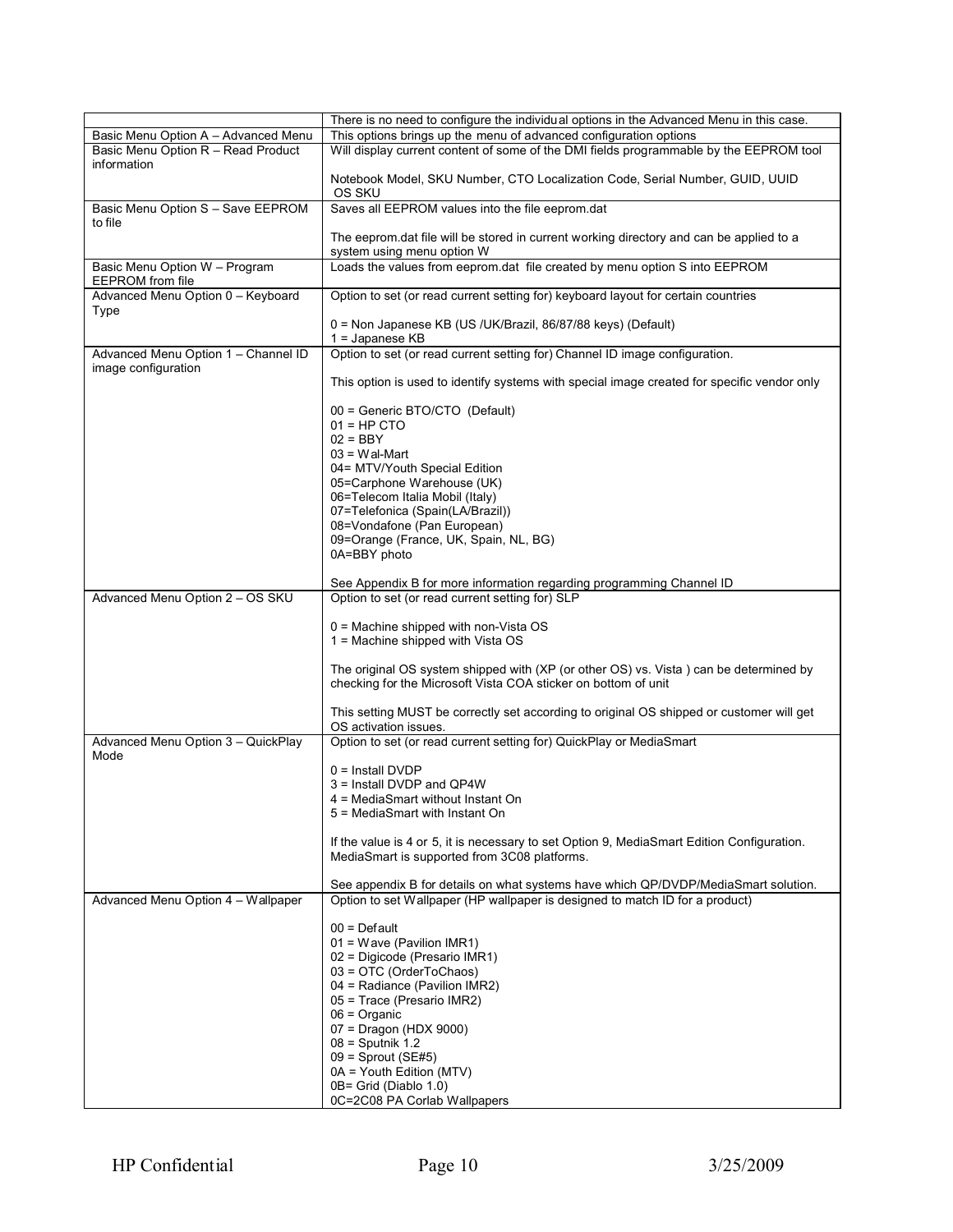|                                                            | There is no need to configure the individual options in the Advanced Menu in this case.                                                                  |
|------------------------------------------------------------|----------------------------------------------------------------------------------------------------------------------------------------------------------|
| Basic Menu Option A - Advanced Menu                        | This options brings up the menu of advanced configuration options                                                                                        |
| Basic Menu Option R - Read Product                         | Will display current content of some of the DMI fields programmable by the EEPROM tool                                                                   |
| information                                                |                                                                                                                                                          |
|                                                            | Notebook Model, SKU Number, CTO Localization Code, Serial Number, GUID, UUID<br>OS SKU                                                                   |
| Basic Menu Option S - Save EEPROM<br>to file               | Saves all EEPROM values into the file eeprom.dat                                                                                                         |
|                                                            | The eeprom dat file will be stored in current working directory and can be applied to a<br>system using menu option W                                    |
| Basic Menu Option W - Program<br>EEPROM from file          | Loads the values from eeprom dat file created by menu option S into EEPROM                                                                               |
| Advanced Menu Option 0 - Keyboard<br><b>Type</b>           | Option to set (or read current setting for) keyboard layout for certain countries                                                                        |
|                                                            | 0 = Non Japanese KB (US /UK/Brazil, 86/87/88 keys) (Default)<br>$1 =$ Japanese KB                                                                        |
| Advanced Menu Option 1 - Channel ID<br>image configuration | Option to set (or read current setting for) Channel ID image configuration.                                                                              |
|                                                            | This option is used to identify systems with special image created for specific vendor only                                                              |
|                                                            | 00 = Generic BTO/CTO (Default)                                                                                                                           |
|                                                            | $01 = HP$ CTO                                                                                                                                            |
|                                                            | $02 = BBY$                                                                                                                                               |
|                                                            | $03 = W$ al-Mart<br>04= MTV/Youth Special Edition                                                                                                        |
|                                                            | 05=Carphone Warehouse (UK)                                                                                                                               |
|                                                            | 06=Telecom Italia Mobil (Italy)                                                                                                                          |
|                                                            | 07=Telefonica (Spain(LA/Brazil))                                                                                                                         |
|                                                            | 08=Vondafone (Pan European)                                                                                                                              |
|                                                            | 09=Orange (France, UK, Spain, NL, BG)                                                                                                                    |
|                                                            | 0A=BBY photo                                                                                                                                             |
|                                                            | See Appendix B for more information regarding programming Channel ID                                                                                     |
| Advanced Menu Option 2 - OS SKU                            | Option to set (or read current setting for) SLP                                                                                                          |
|                                                            | 0 = Machine shipped with non-Vista OS<br>1 = Machine shipped with Vista OS                                                                               |
|                                                            | The original OS system shipped with (XP (or other OS) vs. Vista ) can be determined by<br>checking for the Microsoft Vista COA sticker on bottom of unit |
|                                                            | This setting MUST be correctly set according to original OS shipped or customer will get<br>OS activation issues.                                        |
| Advanced Menu Option 3 - QuickPlay<br>Mode                 | Option to set (or read current setting for) QuickPlay or MediaSmart                                                                                      |
|                                                            | $0 =$ Install DVDP                                                                                                                                       |
|                                                            | 3 = Install DVDP and QP4W                                                                                                                                |
|                                                            | 4 = MediaSmart without Instant On                                                                                                                        |
|                                                            | 5 = MediaSmart with Instant On                                                                                                                           |
|                                                            | If the value is 4 or 5, it is necessary to set Option 9, MediaSmart Edition Configuration.                                                               |
|                                                            | MediaSmart is supported from 3C08 platforms.                                                                                                             |
|                                                            | See appendix B for details on what systems have which QP/DVDP/MediaSmart solution.                                                                       |
| Advanced Menu Option 4 - Wallpaper                         | Option to set Wallpaper (HP wallpaper is designed to match ID for a product)                                                                             |
|                                                            | $00 = Default$                                                                                                                                           |
|                                                            | 01 = Wave (Pavilion IMR1)                                                                                                                                |
|                                                            | 02 = Digicode (Presario IMR1)                                                                                                                            |
|                                                            | 03 = OTC (OrderToChaos)                                                                                                                                  |
|                                                            | 04 = Radiance (Pavilion IMR2)                                                                                                                            |
|                                                            | 05 = Trace (Presario IMR2)                                                                                                                               |
|                                                            | $06 =$ Organic                                                                                                                                           |
|                                                            | 07 = Dragon (HDX 9000)                                                                                                                                   |
|                                                            | $08 =$ Sputnik 1.2<br>$09 =$ Sprout (SE#5)                                                                                                               |
|                                                            | 0A = Youth Edition (MTV)                                                                                                                                 |
|                                                            | 0B= Grid (Diablo 1.0)                                                                                                                                    |
|                                                            | 0C=2C08 PA Corlab Wallpapers                                                                                                                             |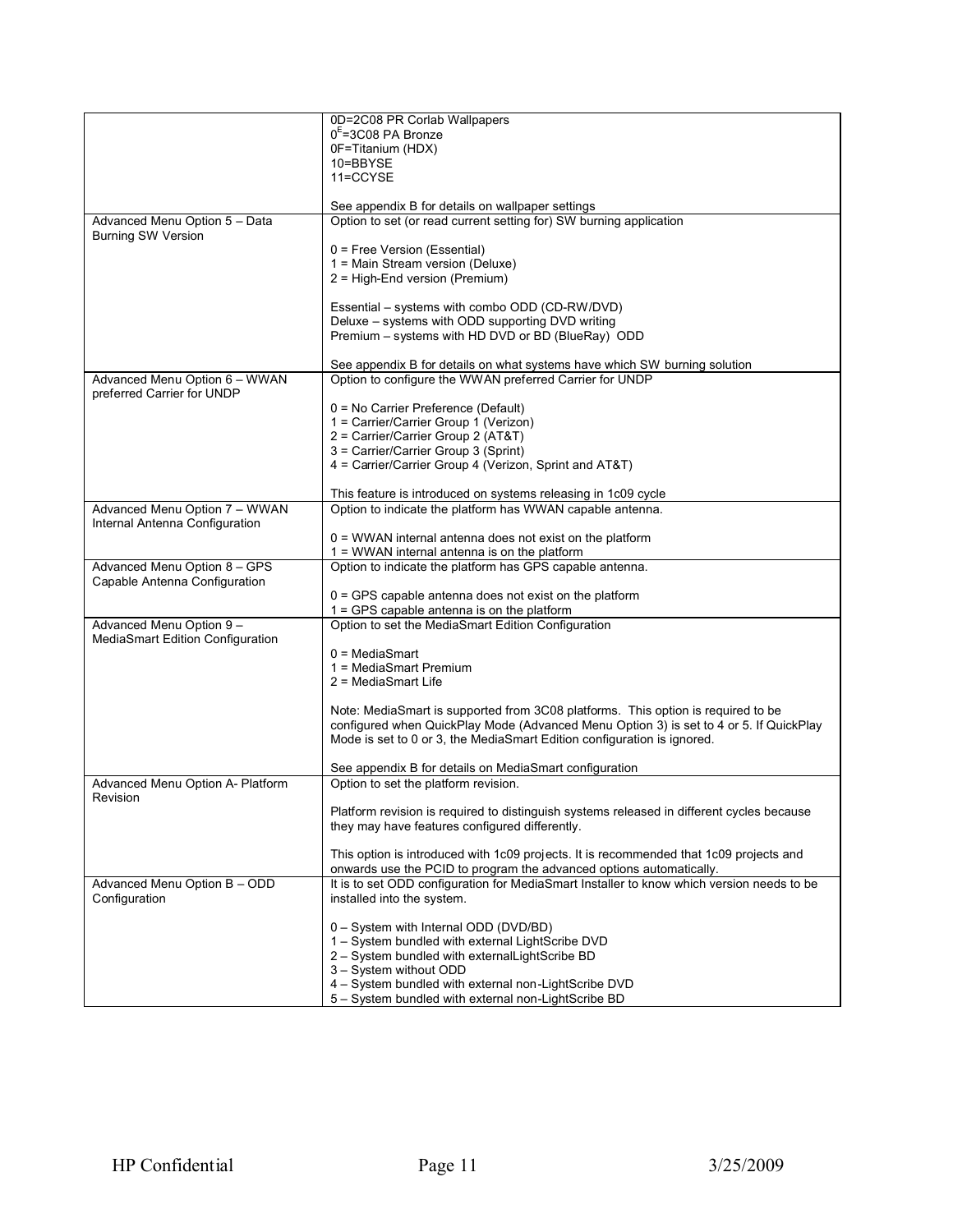|                                                             | 0D=2C08 PR Corlab Wallpapers                                                              |
|-------------------------------------------------------------|-------------------------------------------------------------------------------------------|
|                                                             | $0E = 3C08$ PA Bronze                                                                     |
|                                                             | 0F=Titanium (HDX)                                                                         |
|                                                             | 10=BBYSE                                                                                  |
|                                                             | 11=CCYSE                                                                                  |
|                                                             |                                                                                           |
|                                                             | See appendix B for details on wallpaper settings                                          |
| Advanced Menu Option 5 - Data                               | Option to set (or read current setting for) SW burning application                        |
| <b>Burning SW Version</b>                                   |                                                                                           |
|                                                             | 0 = Free Version (Essential)<br>1 = Main Stream version (Deluxe)                          |
|                                                             | 2 = High-End version (Premium)                                                            |
|                                                             |                                                                                           |
|                                                             | Essential – systems with combo ODD (CD-RW/DVD)                                            |
|                                                             | Deluxe - systems with ODD supporting DVD writing                                          |
|                                                             | Premium - systems with HD DVD or BD (BlueRay) ODD                                         |
|                                                             |                                                                                           |
|                                                             | See appendix B for details on what systems have which SW burning solution                 |
| Advanced Menu Option 6 - WWAN<br>preferred Carrier for UNDP | Option to configure the WWAN preferred Carrier for UNDP                                   |
|                                                             | 0 = No Carrier Preference (Default)                                                       |
|                                                             | 1 = Carrier/Carrier Group 1 (Verizon)                                                     |
|                                                             | 2 = Carrier/Carrier Group 2 (AT&T)                                                        |
|                                                             | 3 = Carrier/Carrier Group 3 (Sprint)                                                      |
|                                                             | 4 = Carrier/Carrier Group 4 (Verizon, Sprint and AT&T)                                    |
|                                                             |                                                                                           |
|                                                             | This feature is introduced on systems releasing in 1c09 cycle                             |
| Advanced Menu Option 7 - WWAN                               | Option to indicate the platform has WWAN capable antenna.                                 |
| Internal Antenna Configuration                              | 0 = WWAN internal antenna does not exist on the platform                                  |
|                                                             | $1 =$ WWAN internal antenna is on the platform                                            |
| Advanced Menu Option 8 - GPS                                | Option to indicate the platform has GPS capable antenna.                                  |
| Capable Antenna Configuration                               |                                                                                           |
|                                                             | $0 = GPS$ capable antenna does not exist on the platform                                  |
|                                                             | 1 = GPS capable antenna is on the platform                                                |
| Advanced Menu Option 9 -                                    | Option to set the MediaSmart Edition Configuration                                        |
| MediaSmart Edition Configuration                            |                                                                                           |
|                                                             | $0 = MediaSmart$                                                                          |
|                                                             | 1 = MediaSmart Premium<br>2 = MediaSmart Life                                             |
|                                                             |                                                                                           |
|                                                             | Note: MediaSmart is supported from 3C08 platforms. This option is required to be          |
|                                                             | configured when QuickPlay Mode (Advanced Menu Option 3) is set to 4 or 5. If QuickPlay    |
|                                                             | Mode is set to 0 or 3, the MediaSmart Edition configuration is ignored.                   |
|                                                             |                                                                                           |
|                                                             | See appendix B for details on MediaSmart configuration                                    |
| Advanced Menu Option A- Platform                            | Option to set the platform revision.                                                      |
| Revision                                                    | Platform revision is required to distinguish systems released in different cycles because |
|                                                             | they may have features configured differently.                                            |
|                                                             |                                                                                           |
|                                                             | This option is introduced with 1c09 projects. It is recommended that 1c09 projects and    |
|                                                             | onwards use the PCID to program the advanced options automatically.                       |
| Advanced Menu Option B - ODD                                | It is to set ODD configuration for MediaSmart Installer to know which version needs to be |
| Configuration                                               | installed into the system.                                                                |
|                                                             | 0 - System with Internal ODD (DVD/BD)                                                     |
|                                                             | 1 - System bundled with external LightScribe DVD                                          |
|                                                             | 2 - System bundled with externalLightScribe BD                                            |
|                                                             | 3 - System without ODD                                                                    |
|                                                             | 4 - System bundled with external non-LightScribe DVD                                      |
|                                                             | 5 - System bundled with external non-LightScribe BD                                       |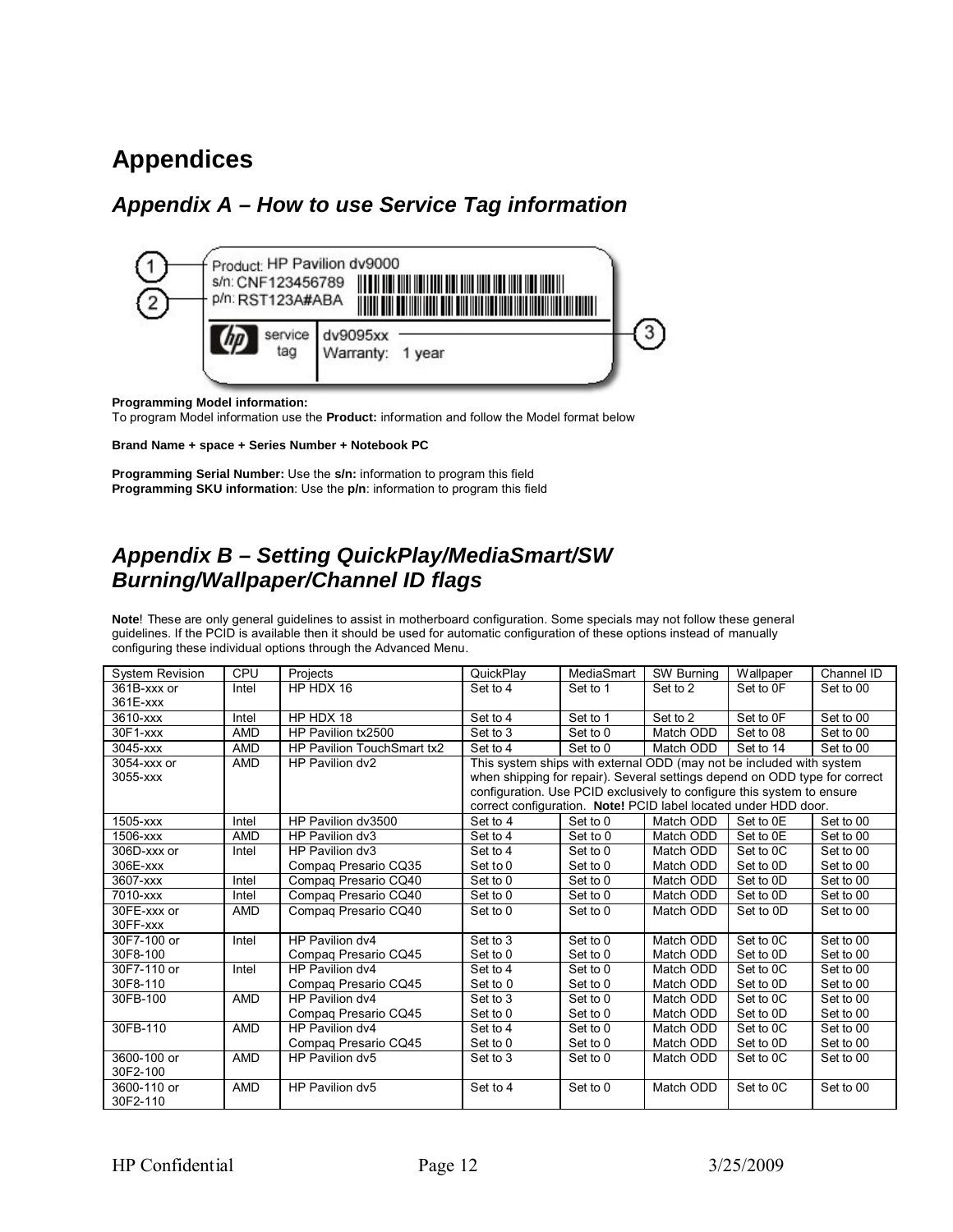### **Appendices**

### *Appendix A – How to use Service Tag information*



#### **Programming Model information:**

To program Model information use the **Product:** information and follow the Model format below

#### **Brand Name + space + Series Number + Notebook PC**

**Programming Serial Number:** Use the **s/n:** information to program this field **Programming SKU information**: Use the **p/n**: information to program this field

#### *Appendix B – Setting QuickPlay/MediaSmart/SW Burning/Wallpaper/Channel ID flags*

**Note**! These are only general guidelines to assist in motherboard configuration. Some specials may not follow these general guidelines. If the PCID is available then it should be used for automatic configuration of these options instead of manually configuring these individual options through the Advanced Menu.

| <b>System Revision</b> | CPU        | Projects                   | QuickPlay                                                                  | MediaSmart | SW Burning | Wallpaper             | Channel ID |  |  |
|------------------------|------------|----------------------------|----------------------------------------------------------------------------|------------|------------|-----------------------|------------|--|--|
| 361B-xxx or            | Intel      | HP HDX 16                  | Set to 4                                                                   | Set to 1   | Set to 2   | Set to 0F             | Set to 00  |  |  |
| 361E-xxx               |            |                            |                                                                            |            |            |                       |            |  |  |
| 3610-xxx               | Intel      | HP HDX 18                  | Set to 4                                                                   | Set to 1   | Set to 2   | Set to OF             | Set to 00  |  |  |
| $30F1-xxx$             | <b>AMD</b> | HP Pavilion tx2500         | Set to 3                                                                   | Set to 0   | Match ODD  | Set to 08             | Set to 00  |  |  |
| 3045-xxx               | <b>AMD</b> | HP Pavilion TouchSmart tx2 | Set to 4                                                                   | Set to 0   | Match ODD  | Set to 14             | Set to 00  |  |  |
| 3054-xxx or            | <b>AMD</b> | HP Pavilion dv2            | This system ships with external ODD (may not be included with system       |            |            |                       |            |  |  |
| 3055-xxx               |            |                            | when shipping for repair). Several settings depend on ODD type for correct |            |            |                       |            |  |  |
|                        |            |                            | configuration. Use PCID exclusively to configure this system to ensure     |            |            |                       |            |  |  |
|                        |            |                            | correct configuration. Note! PCID label located under HDD door.            |            |            |                       |            |  |  |
| 1505-xxx               | Intel      | HP Pavilion dv3500         | Set to 4                                                                   | Set to 0   | Match ODD  | Set to 0E             | Set to 00  |  |  |
| 1506-xxx               | <b>AMD</b> | HP Pavilion dv3            | Set to 4                                                                   | Set to 0   | Match ODD  | Set to 0E             | Set to 00  |  |  |
| 306D-xxx or            | Intel      | HP Pavilion dv3            | Set to 4                                                                   | Set to 0   | Match ODD  | Set to OC             | Set to 00  |  |  |
| 306E-xxx               |            | Compag Presario CQ35       | Set to 0                                                                   | Set to 0   | Match ODD  | Set to 0D             | Set to 00  |  |  |
| 3607-xxx               | Intel      | Compag Presario CQ40       | Set to 0                                                                   | Set to 0   | Match ODD  | Set to 0D             | Set to 00  |  |  |
| 7010-xxx               | Intel      | Compag Presario CQ40       | Set to 0                                                                   | Set to 0   | Match ODD  | Set to 0D             | Set to 00  |  |  |
| 30FE-xxx or            | <b>AMD</b> | Compag Presario CQ40       | Set to 0                                                                   | Set to 0   | Match ODD  | Set to 0D             | Set to 00  |  |  |
| 30FF-xxx               |            |                            |                                                                            |            |            |                       |            |  |  |
| 30F7-100 or            | Intel      | HP Pavilion dv4            | Set to 3                                                                   | Set to 0   | Match ODD  | Set to 0C             | Set to 00  |  |  |
| 30F8-100               |            | Compag Presario CQ45       | Set to 0                                                                   | Set to 0   | Match ODD  | Set to 0D             | Set to 00  |  |  |
| 30F7-110 or            | Intel      | HP Pavilion dv4            | Set to 4                                                                   | Set to 0   | Match ODD  | Set to OC             | Set to 00  |  |  |
| 30F8-110               |            | Compag Presario CQ45       | Set to 0                                                                   | Set to 0   | Match ODD  | Set to 0D             | Set to 00  |  |  |
| 30FB-100               | <b>AMD</b> | HP Pavilion dv4            | Set to 3                                                                   | Set to 0   | Match ODD  | Set to OC             | Set to 00  |  |  |
|                        |            | Compag Presario CQ45       | Set to 0                                                                   | Set to 0   | Match ODD  | Set to 0D             | Set to 00  |  |  |
| 30FB-110               | AMD        | HP Pavilion dv4            | Set to 4                                                                   | Set to 0   | Match ODD  | Set to 0C             | Set to 00  |  |  |
|                        |            | Compag Presario CQ45       | Set to 0                                                                   | Set to 0   | Match ODD  | Set to 0D             | Set to 00  |  |  |
| 3600-100 or            | <b>AMD</b> | HP Pavilion dv5            | Set to 3                                                                   | Set to 0   | Match ODD  | Set to <sub>0</sub> C | Set to 00  |  |  |
| 30F2-100               |            |                            |                                                                            |            |            |                       |            |  |  |
| 3600-110 or            | <b>AMD</b> | HP Pavilion dv5            | Set to 4                                                                   | Set to 0   | Match ODD  | Set to 0C             | Set to 00  |  |  |
| 30F2-110               |            |                            |                                                                            |            |            |                       |            |  |  |